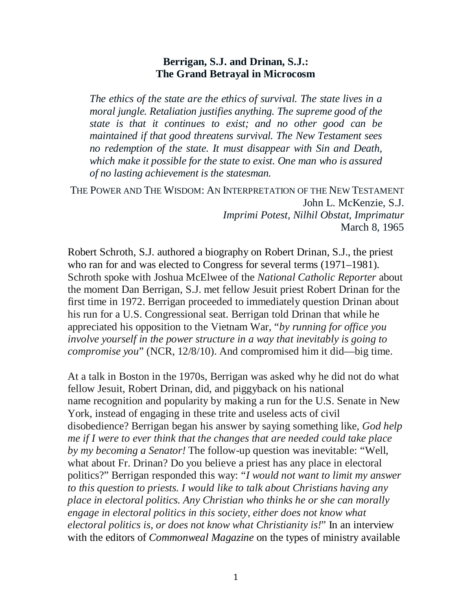#### **Berrigan, S.J. and Drinan, S.J.: The Grand Betrayal in Microcosm**

*The ethics of the state are the ethics of survival. The state lives in a moral jungle. Retaliation justifies anything. The supreme good of the state is that it continues to exist; and no other good can be maintained if that good threatens survival. The New Testament sees no redemption of the state. It must disappear with Sin and Death, which make it possible for the state to exist. One man who is assured of no lasting achievement is the statesman.*

THE POWER AND THE WISDOM: AN INTERPRETATION OF THE NEW TESTAMENT John L. McKenzie, S.J. *Imprimi Potest, Nilhil Obstat, Imprimatur* March 8, 1965

Robert Schroth, S.J. authored a biography on Robert Drinan, S.J., the priest who ran for and was elected to Congress for several terms (1971–1981). Schroth spoke with Joshua McElwee of the *National Catholic Reporter* about the moment Dan Berrigan, S.J. met fellow Jesuit priest Robert Drinan for the first time in 1972. Berrigan proceeded to immediately question Drinan about his run for a U.S. Congressional seat. Berrigan told Drinan that while he appreciated his opposition to the Vietnam War, "*by running for office you involve yourself in the power structure in a way that inevitably is going to compromise you*" (NCR, 12/8/10). And compromised him it did—big time.

At a talk in Boston in the 1970s, Berrigan was asked why he did not do what fellow Jesuit, Robert Drinan, did, and piggyback on his national name recognition and popularity by making a run for the U.S. Senate in New York, instead of engaging in these trite and useless acts of civil disobedience? Berrigan began his answer by saying something like, *God help me if I were to ever think that the changes that are needed could take place by my becoming a Senator!* The follow-up question was inevitable: "Well, what about Fr. Drinan? Do you believe a priest has any place in electoral politics?" Berrigan responded this way: "*I would not want to limit my answer to this question to priests. I would like to talk about Christians having any place in electoral politics. Any Christian who thinks he or she can morally engage in electoral politics in this society, either does not know what electoral politics is, or does not know what Christianity is!*" In an interview with the editors of *Commonweal Magazine* on the types of ministry available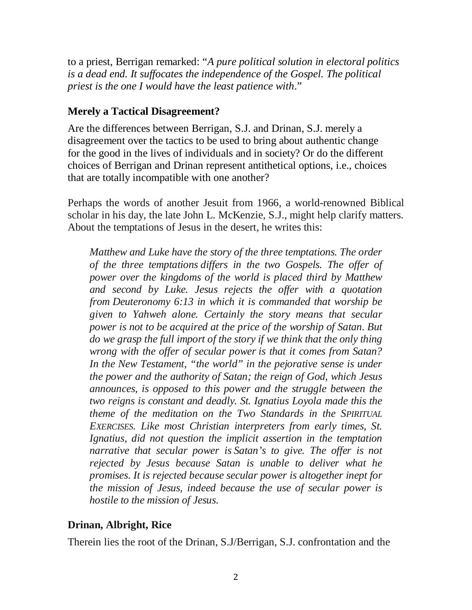to a priest, Berrigan remarked: "*A pure political solution in electoral politics is a dead end. It suffocates the independence of the Gospel. The political priest is the one I would have the least patience with*."

# **Merely a Tactical Disagreement?**

Are the differences between Berrigan, S.J. and Drinan, S.J. merely a disagreement over the tactics to be used to bring about authentic change for the good in the lives of individuals and in society? Or do the different choices of Berrigan and Drinan represent antithetical options, i.e., choices that are totally incompatible with one another?

Perhaps the words of another Jesuit from 1966, a world-renowned Biblical scholar in his day, the late John L. McKenzie, S.J., might help clarify matters. About the temptations of Jesus in the desert, he writes this:

*Matthew and Luke have the story of the three temptations. The order of the three temptations differs in the two Gospels. The offer of power over the kingdoms of the world is placed third by Matthew and second by Luke. Jesus rejects the offer with a quotation from Deuteronomy 6:13 in which it is commanded that worship be given to Yahweh alone. Certainly the story means that secular power is not to be acquired at the price of the worship of Satan. But do we grasp the full import of the story if we think that the only thing wrong with the offer of secular power is that it comes from Satan? In the New Testament, "the world" in the pejorative sense is under the power and the authority of Satan; the reign of God, which Jesus announces, is opposed to this power and the struggle between the two reigns is constant and deadly. St. Ignatius Loyola made this the theme of the meditation on the Two Standards in the SPIRITUAL EXERCISES. Like most Christian interpreters from early times, St. Ignatius, did not question the implicit assertion in the temptation narrative that secular power is Satan's to give. The offer is not rejected by Jesus because Satan is unable to deliver what he promises. It is rejected because secular power is altogether inept for the mission of Jesus, indeed because the use of secular power is hostile to the mission of Jesus*.

# **Drinan, Albright, Rice**

Therein lies the root of the Drinan, S.J/Berrigan, S.J. confrontation and the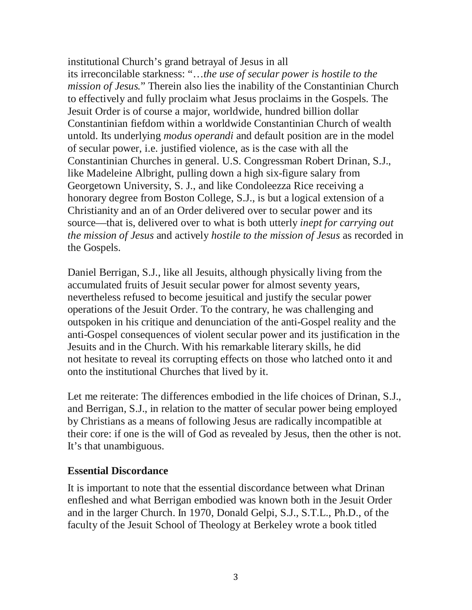institutional Church's grand betrayal of Jesus in all its irreconcilable starkness: "…*the use of secular power is hostile to the mission of Jesus.*" Therein also lies the inability of the Constantinian Church to effectively and fully proclaim what Jesus proclaims in the Gospels. The Jesuit Order is of course a major, worldwide, hundred billion dollar Constantinian fiefdom within a worldwide Constantinian Church of wealth untold. Its underlying *modus operandi* and default position are in the model of secular power, i.e. justified violence, as is the case with all the Constantinian Churches in general. U.S. Congressman Robert Drinan, S.J., like Madeleine Albright, pulling down a high six-figure salary from Georgetown University, S. J., and like Condoleezza Rice receiving a honorary degree from Boston College, S.J., is but a logical extension of a Christianity and an of an Order delivered over to secular power and its source—that is, delivered over to what is both utterly *inept for carrying out the mission of Jesus* and actively *hostile to the mission of Jesus* as recorded in the Gospels.

Daniel Berrigan, S.J., like all Jesuits, although physically living from the accumulated fruits of Jesuit secular power for almost seventy years, nevertheless refused to become jesuitical and justify the secular power operations of the Jesuit Order. To the contrary, he was challenging and outspoken in his critique and denunciation of the anti-Gospel reality and the anti-Gospel consequences of violent secular power and its justification in the Jesuits and in the Church. With his remarkable literary skills, he did not hesitate to reveal its corrupting effects on those who latched onto it and onto the institutional Churches that lived by it.

Let me reiterate: The differences embodied in the life choices of Drinan, S.J., and Berrigan, S.J., in relation to the matter of secular power being employed by Christians as a means of following Jesus are radically incompatible at their core: if one is the will of God as revealed by Jesus, then the other is not. It's that unambiguous.

### **Essential Discordance**

It is important to note that the essential discordance between what Drinan enfleshed and what Berrigan embodied was known both in the Jesuit Order and in the larger Church. In 1970, Donald Gelpi, S.J., S.T.L., Ph.D., of the faculty of the Jesuit School of Theology at Berkeley wrote a book titled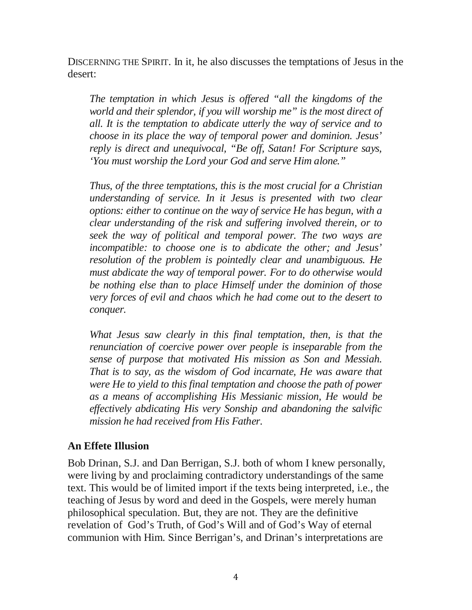DISCERNING THE SPIRIT. In it, he also discusses the temptations of Jesus in the desert:

*The temptation in which Jesus is offered "all the kingdoms of the world and their splendor, if you will worship me" is the most direct of all. It is the temptation to abdicate utterly the way of service and to choose in its place the way of temporal power and dominion. Jesus' reply is direct and unequivocal, "Be off, Satan! For Scripture says, 'You must worship the Lord your God and serve Him alone."*

*Thus, of the three temptations, this is the most crucial for a Christian understanding of service. In it Jesus is presented with two clear options: either to continue on the way of service He has begun, with a clear understanding of the risk and suffering involved therein, or to seek the way of political and temporal power. The two ways are incompatible: to choose one is to abdicate the other; and Jesus' resolution of the problem is pointedly clear and unambiguous. He must abdicate the way of temporal power. For to do otherwise would be nothing else than to place Himself under the dominion of those very forces of evil and chaos which he had come out to the desert to conquer.*

*What Jesus saw clearly in this final temptation, then, is that the renunciation of coercive power over people is inseparable from the sense of purpose that motivated His mission as Son and Messiah. That is to say, as the wisdom of God incarnate, He was aware that were He to yield to this final temptation and choose the path of power as a means of accomplishing His Messianic mission, He would be effectively abdicating His very Sonship and abandoning the salvific mission he had received from His Father.*

### **An Effete Illusion**

Bob Drinan, S.J. and Dan Berrigan, S.J. both of whom I knew personally, were living by and proclaiming contradictory understandings of the same text. This would be of limited import if the texts being interpreted, i.e., the teaching of Jesus by word and deed in the Gospels, were merely human philosophical speculation. But, they are not. They are the definitive revelation of God's Truth, of God's Will and of God's Way of eternal communion with Him. Since Berrigan's, and Drinan's interpretations are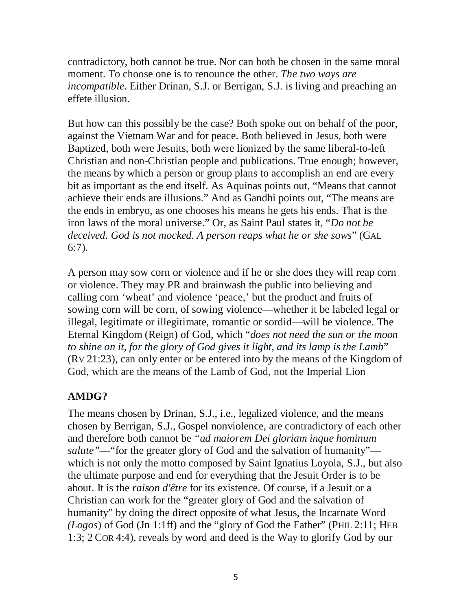contradictory, both cannot be true. Nor can both be chosen in the same moral moment. To choose one is to renounce the other. *The two ways are incompatible*. Either Drinan, S.J. or Berrigan, S.J. is living and preaching an effete illusion.

But how can this possibly be the case? Both spoke out on behalf of the poor, against the Vietnam War and for peace. Both believed in Jesus, both were Baptized, both were Jesuits, both were lionized by the same liberal-to-left Christian and non-Christian people and publications. True enough; however, the means by which a person or group plans to accomplish an end are every bit as important as the end itself. As Aquinas points out, "Means that cannot achieve their ends are illusions." And as Gandhi points out, "The means are the ends in embryo, as one chooses his means he gets his ends. That is the iron laws of the moral universe." Or, as Saint Paul states it, "*Do not be deceived. God is not mocked. A person reaps what he or she sows*" (GAL 6:7).

A person may sow corn or violence and if he or she does they will reap corn or violence. They may PR and brainwash the public into believing and calling corn 'wheat' and violence 'peace,' but the product and fruits of sowing corn will be corn, of sowing violence—whether it be labeled legal or illegal, legitimate or illegitimate, romantic or sordid—will be violence. The Eternal Kingdom (Reign) of God, which "*does not need the sun or the moon to shine on it, for the glory of God gives it light, and its lamp is the Lamb*" (RV 21:23), can only enter or be entered into by the means of the Kingdom of God, which are the means of the Lamb of God, not the Imperial Lion

# **AMDG?**

The means chosen by Drinan, S.J., i.e., legalized violence, and the means chosen by Berrigan, S.J., Gospel nonviolence, are contradictory of each other and therefore both cannot be *"ad maiorem Dei gloriam inque hominum salute"*—"for the greater glory of God and the salvation of humanity" which is not only the motto composed by Saint Ignatius Loyola, S.J., but also the ultimate purpose and end for everything that the Jesuit Order is to be about. It is the *raison d'être* for its existence. Of course, if a Jesuit or a Christian can work for the "greater glory of God and the salvation of humanity" by doing the direct opposite of what Jesus, the Incarnate Word *(Logos*) of God (Jn 1:1ff) and the "glory of God the Father" (PHIL 2:11; HEB 1:3; 2 COR 4:4), reveals by word and deed is the Way to glorify God by our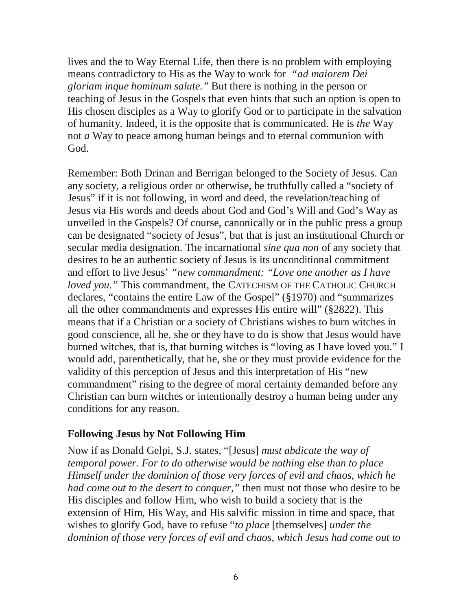lives and the to Way Eternal Life, then there is no problem with employing means contradictory to His as the Way to work for *"ad maiorem Dei gloriam inque hominum salute."* But there is nothing in the person or teaching of Jesus in the Gospels that even hints that such an option is open to His chosen disciples as a Way to glorify God or to participate in the salvation of humanity. Indeed, it is the opposite that is communicated. He is *the* Way not *a* Way to peace among human beings and to eternal communion with God.

Remember: Both Drinan and Berrigan belonged to the Society of Jesus. Can any society, a religious order or otherwise, be truthfully called a "society of Jesus" if it is not following, in word and deed, the revelation/teaching of Jesus via His words and deeds about God and God's Will and God's Way as unveiled in the Gospels? Of course, canonically or in the public press a group can be designated "society of Jesus", but that is just an institutional Church or secular media designation. The incarnational *sine qua non* of any society that desires to be an authentic society of Jesus is its unconditional commitment and effort to live Jesus' *"new commandment: "Love one another as I have loved you."* This commandment, the CATECHISM OF THE CATHOLIC CHURCH declares, "contains the entire Law of the Gospel" (§1970) and "summarizes all the other commandments and expresses His entire will" (§2822). This means that if a Christian or a society of Christians wishes to burn witches in good conscience, all he, she or they have to do is show that Jesus would have burned witches, that is, that burning witches is "loving as I have loved you." I would add, parenthetically, that he, she or they must provide evidence for the validity of this perception of Jesus and this interpretation of His "new commandment" rising to the degree of moral certainty demanded before any Christian can burn witches or intentionally destroy a human being under any conditions for any reason.

### **Following Jesus by Not Following Him**

Now if as Donald Gelpi, S.J. states, "[Jesus] *must abdicate the way of temporal power. For to do otherwise would be nothing else than to place Himself under the dominion of those very forces of evil and chaos, which he had come out to the desert to conquer,"* then must not those who desire to be His disciples and follow Him, who wish to build a society that is the extension of Him, His Way, and His salvific mission in time and space, that wishes to glorify God, have to refuse "*to place* [themselves] *under the dominion of those very forces of evil and chaos, which Jesus had come out to*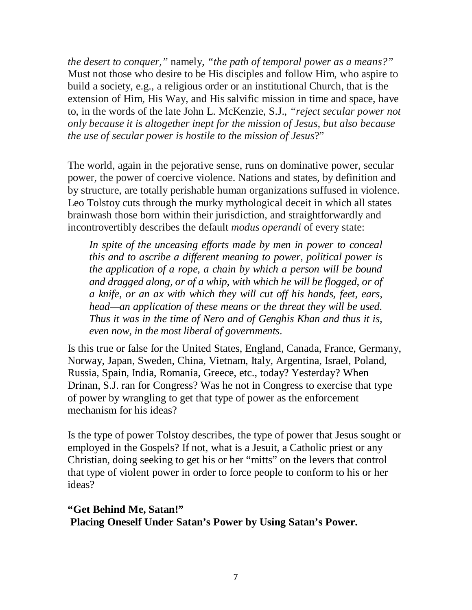*the desert to conquer,"* namely, *"the path of temporal power as a means?"* Must not those who desire to be His disciples and follow Him, who aspire to build a society, e.g., a religious order or an institutional Church, that is the extension of Him, His Way, and His salvific mission in time and space, have to, in the words of the late John L. McKenzie, S.J., *"reject secular power not only because it is altogether inept for the mission of Jesus, but also because the use of secular power is hostile to the mission of Jesus*?"

The world, again in the pejorative sense, runs on dominative power, secular power, the power of coercive violence. Nations and states, by definition and by structure, are totally perishable human organizations suffused in violence. Leo Tolstoy cuts through the murky mythological deceit in which all states brainwash those born within their jurisdiction, and straightforwardly and incontrovertibly describes the default *modus operandi* of every state:

*In spite of the unceasing efforts made by men in power to conceal this and to ascribe a different meaning to power, political power is the application of a rope, a chain by which a person will be bound and dragged along, or of a whip, with which he will be flogged, or of a knife, or an ax with which they will cut off his hands, feet, ears, head—an application of these means or the threat they will be used. Thus it was in the time of Nero and of Genghis Khan and thus it is, even now, in the most liberal of governments*.

Is this true or false for the United States, England, Canada, France, Germany, Norway, Japan, Sweden, China, Vietnam, Italy, Argentina, Israel, Poland, Russia, Spain, India, Romania, Greece, etc., today? Yesterday? When Drinan, S.J. ran for Congress? Was he not in Congress to exercise that type of power by wrangling to get that type of power as the enforcement mechanism for his ideas?

Is the type of power Tolstoy describes, the type of power that Jesus sought or employed in the Gospels? If not, what is a Jesuit, a Catholic priest or any Christian, doing seeking to get his or her "mitts" on the levers that control that type of violent power in order to force people to conform to his or her ideas?

**"Get Behind Me, Satan!" Placing Oneself Under Satan's Power by Using Satan's Power.**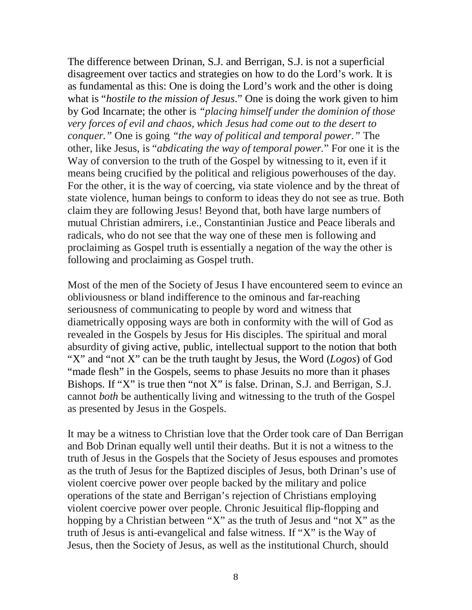The difference between Drinan, S.J. and Berrigan, S.J. is not a superficial disagreement over tactics and strategies on how to do the Lord's work. It is as fundamental as this: One is doing the Lord's work and the other is doing what is "*hostile to the mission of Jesus*." One is doing the work given to him by God Incarnate; the other is *"placing himself under the dominion of those very forces of evil and chaos, which Jesus had come out to the desert to conquer."* One is going *"the way of political and temporal power."* The other, like Jesus, is "*abdicating the way of temporal power.*" For one it is the Way of conversion to the truth of the Gospel by witnessing to it, even if it means being crucified by the political and religious powerhouses of the day. For the other, it is the way of coercing, via state violence and by the threat of state violence, human beings to conform to ideas they do not see as true. Both claim they are following Jesus! Beyond that, both have large numbers of mutual Christian admirers, i.e., Constantinian Justice and Peace liberals and radicals, who do not see that the way one of these men is following and proclaiming as Gospel truth is essentially a negation of the way the other is following and proclaiming as Gospel truth.

Most of the men of the Society of Jesus I have encountered seem to evince an obliviousness or bland indifference to the ominous and far-reaching seriousness of communicating to people by word and witness that diametrically opposing ways are both in conformity with the will of God as revealed in the Gospels by Jesus for His disciples. The spiritual and moral absurdity of giving active, public, intellectual support to the notion that both "X" and "not X" can be the truth taught by Jesus, the Word (*Logos*) of God "made flesh" in the Gospels, seems to phase Jesuits no more than it phases Bishops. If "X" is true then "not X" is false. Drinan, S.J. and Berrigan, S.J. cannot *both* be authentically living and witnessing to the truth of the Gospel as presented by Jesus in the Gospels.

It may be a witness to Christian love that the Order took care of Dan Berrigan and Bob Drinan equally well until their deaths. But it is not a witness to the truth of Jesus in the Gospels that the Society of Jesus espouses and promotes as the truth of Jesus for the Baptized disciples of Jesus, both Drinan's use of violent coercive power over people backed by the military and police operations of the state and Berrigan's rejection of Christians employing violent coercive power over people. Chronic Jesuitical flip-flopping and hopping by a Christian between "X" as the truth of Jesus and "not X" as the truth of Jesus is anti-evangelical and false witness. If "X" is the Way of Jesus, then the Society of Jesus, as well as the institutional Church, should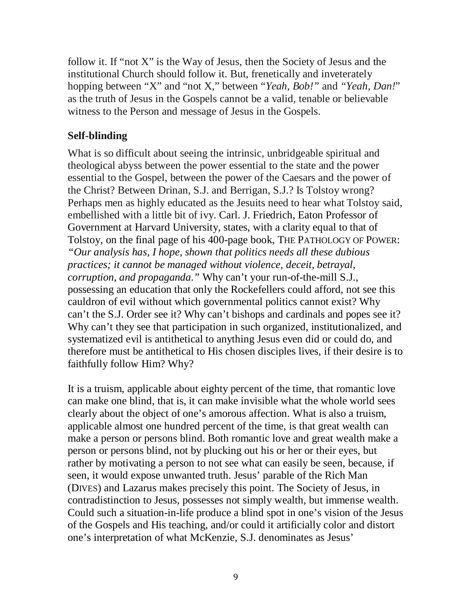follow it. If "not X" is the Way of Jesus, then the Society of Jesus and the institutional Church should follow it. But, frenetically and inveterately hopping between "X" and "not X," between "*Yeah, Bob!"* and *"Yeah, Dan!*" as the truth of Jesus in the Gospels cannot be a valid, tenable or believable witness to the Person and message of Jesus in the Gospels.

### **Self-blinding**

What is so difficult about seeing the intrinsic, unbridgeable spiritual and theological abyss between the power essential to the state and the power essential to the Gospel, between the power of the Caesars and the power of the Christ? Between Drinan, S.J. and Berrigan, S.J.? Is Tolstoy wrong? Perhaps men as highly educated as the Jesuits need to hear what Tolstoy said, embellished with a little bit of ivy. Carl. J. Friedrich, Eaton Professor of Government at Harvard University, states, with a clarity equal to that of Tolstoy, on the final page of his 400-page book, THE PATHOLOGY OF POWER: *"Our analysis has, I hope, shown that politics needs all these dubious practices; it cannot be managed without violence, deceit, betrayal, corruption, and propaganda."* Why can't your run-of-the-mill S.J., possessing an education that only the Rockefellers could afford, not see this cauldron of evil without which governmental politics cannot exist? Why can't the S.J. Order see it? Why can't bishops and cardinals and popes see it? Why can't they see that participation in such organized, institutionalized, and systematized evil is antithetical to anything Jesus even did or could do, and therefore must be antithetical to His chosen disciples lives, if their desire is to faithfully follow Him? Why?

It is a truism, applicable about eighty percent of the time, that romantic love can make one blind, that is, it can make invisible what the whole world sees clearly about the object of one's amorous affection. What is also a truism, applicable almost one hundred percent of the time, is that great wealth can make a person or persons blind. Both romantic love and great wealth make a person or persons blind, not by plucking out his or her or their eyes, but rather by motivating a person to not see what can easily be seen, because, if seen, it would expose unwanted truth. Jesus' parable of the Rich Man (DIVES) and Lazarus makes precisely this point. The Society of Jesus, in contradistinction to Jesus, possesses not simply wealth, but immense wealth. Could such a situation-in-life produce a blind spot in one's vision of the Jesus of the Gospels and His teaching, and/or could it artificially color and distort one's interpretation of what McKenzie, S.J. denominates as Jesus'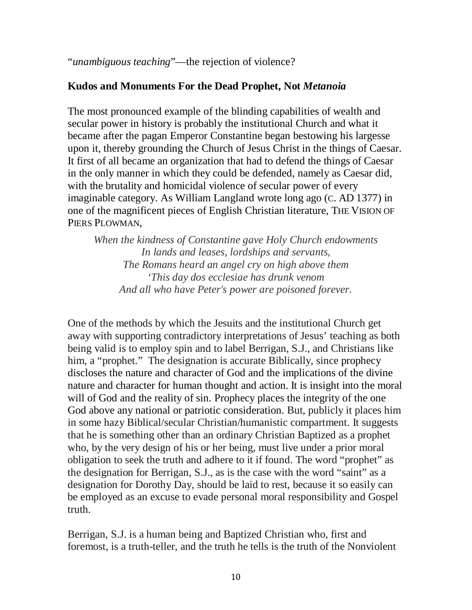"*unambiguous teaching*"—the rejection of violence?

### **Kudos and Monuments For the Dead Prophet, Not** *Metanoia*

The most pronounced example of the blinding capabilities of wealth and secular power in history is probably the institutional Church and what it became after the pagan Emperor Constantine began bestowing his largesse upon it, thereby grounding the Church of Jesus Christ in the things of Caesar. It first of all became an organization that had to defend the things of Caesar in the only manner in which they could be defended, namely as Caesar did, with the brutality and homicidal violence of secular power of every imaginable category. As William Langland wrote long ago (C. AD 1377) in one of the magnificent pieces of English Christian literature, THE VISION OF PIERS PLOWMAN,

*When the kindness of Constantine gave Holy Church endowments In lands and leases, lordships and servants, The Romans heard an angel cry on high above them 'This day dos ecclesiae has drunk venom And all who have Peter's power are poisoned forever.*

One of the methods by which the Jesuits and the institutional Church get away with supporting contradictory interpretations of Jesus' teaching as both being valid is to employ spin and to label Berrigan, S.J., and Christians like him, a "prophet." The designation is accurate Biblically, since prophecy discloses the nature and character of God and the implications of the divine nature and character for human thought and action. It is insight into the moral will of God and the reality of sin. Prophecy places the integrity of the one God above any national or patriotic consideration. But, publicly it places him in some hazy Biblical/secular Christian/humanistic compartment. It suggests that he is something other than an ordinary Christian Baptized as a prophet who, by the very design of his or her being, must live under a prior moral obligation to seek the truth and adhere to it if found. The word "prophet" as the designation for Berrigan, S.J., as is the case with the word "saint" as a designation for Dorothy Day, should be laid to rest, because it so easily can be employed as an excuse to evade personal moral responsibility and Gospel truth.

Berrigan, S.J. is a human being and Baptized Christian who, first and foremost, is a truth-teller, and the truth he tells is the truth of the Nonviolent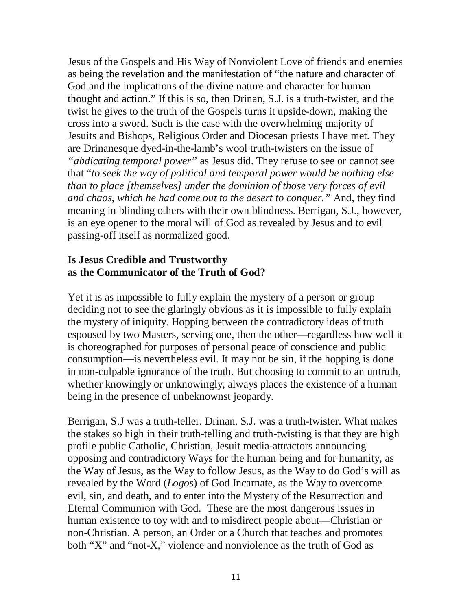Jesus of the Gospels and His Way of Nonviolent Love of friends and enemies as being the revelation and the manifestation of "the nature and character of God and the implications of the divine nature and character for human thought and action." If this is so, then Drinan, S.J. is a truth-twister, and the twist he gives to the truth of the Gospels turns it upside-down, making the cross into a sword. Such is the case with the overwhelming majority of Jesuits and Bishops, Religious Order and Diocesan priests I have met. They are Drinanesque dyed-in-the-lamb's wool truth-twisters on the issue of *"abdicating temporal power"* as Jesus did. They refuse to see or cannot see that "*to seek the way of political and temporal power would be nothing else than to place [themselves] under the dominion of those very forces of evil and chaos, which he had come out to the desert to conquer."* And, they find meaning in blinding others with their own blindness. Berrigan, S.J., however, is an eye opener to the moral will of God as revealed by Jesus and to evil passing-off itself as normalized good.

### **Is Jesus Credible and Trustworthy as the Communicator of the Truth of God?**

Yet it is as impossible to fully explain the mystery of a person or group deciding not to see the glaringly obvious as it is impossible to fully explain the mystery of iniquity. Hopping between the contradictory ideas of truth espoused by two Masters, serving one, then the other—regardless how well it is choreographed for purposes of personal peace of conscience and public consumption—is nevertheless evil. It may not be sin, if the hopping is done in non-culpable ignorance of the truth. But choosing to commit to an untruth, whether knowingly or unknowingly, always places the existence of a human being in the presence of unbeknownst jeopardy.

Berrigan, S.J was a truth-teller. Drinan, S.J. was a truth-twister. What makes the stakes so high in their truth-telling and truth-twisting is that they are high profile public Catholic, Christian, Jesuit media-attractors announcing opposing and contradictory Ways for the human being and for humanity, as the Way of Jesus, as the Way to follow Jesus, as the Way to do God's will as revealed by the Word (*Logos*) of God Incarnate, as the Way to overcome evil, sin, and death, and to enter into the Mystery of the Resurrection and Eternal Communion with God. These are the most dangerous issues in human existence to toy with and to misdirect people about—Christian or non-Christian. A person, an Order or a Church that teaches and promotes both "X" and "not-X," violence and nonviolence as the truth of God as